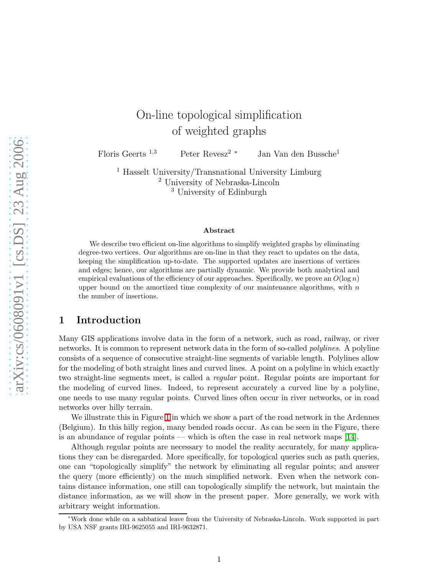# On-line topological simplification of weighted graphs

Floris Geerts <sup>1</sup>,<sup>3</sup> Peter Revesz<sup>2</sup> <sup>∗</sup> Jan Van den Bussche<sup>1</sup>

<sup>1</sup> Hasselt University/Transnational University Limburg <sup>2</sup> University of Nebraska-Lincoln <sup>3</sup> University of Edinburgh

#### Abstract

We describe two efficient on-line algorithms to simplify weighted graphs by eliminating degree-two vertices. Our algorithms are on-line in that they react to updates on the data, keeping the simplification up-to-date. The supported updates are insertions of vertices and edges; hence, our algorithms are partially dynamic. We provide both analytical and empirical evaluations of the efficiency of our approaches. Specifically, we prove an  $O(\log n)$ upper bound on the amortized time complexity of our maintenance algorithms, with  $n$ the number of insertions.

### 1 Introduction

Many GIS applications involve data in the form of a network, such as road, railway, or river networks. It is common to represent network data in the form of so-called *polylines*. A polyline consists of a sequence of consecutive straight-line segments of variable length. Polylines allow for the modeling of both straight lines and curved lines. A point on a polyline in which exactly two straight-line segments meet, is called a *regular* point. Regular points are important for the modeling of curved lines. Indeed, to represent accurately a curved line by a polyline, one needs to use many regular points. Curved lines often occur in river networks, or in road networks over hilly terrain.

We illustrate this in Figure [1](#page-1-0) in which we show a part of the road network in the Ardennes (Belgium). In this hilly region, many bended roads occur. As can be seen in the Figure, there is an abundance of regular points — which is often the case in real network maps  $[14]$ .

Although regular points are necessary to model the reality accurately, for many applications they can be disregarded. More specifically, for topological queries such as path queries, one can "topologically simplify" the network by eliminating all regular points; and answer the query (more efficiently) on the much simplified network. Even when the network contains distance information, one still can topologically simplify the network, but maintain the distance information, as we will show in the present paper. More generally, we work with arbitrary weight information.

<sup>∗</sup>Work done while on a sabbatical leave from the University of Nebraska-Lincoln. Work supported in part by USA NSF grants IRI-9625055 and IRI-9632871.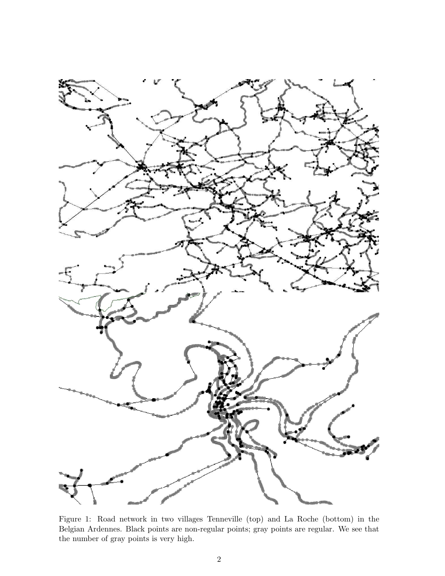

<span id="page-1-0"></span>Figure 1: Road network in two villages Tenneville (top) and La Roche (bottom) in the Belgian Ardennes. Black points are non-regular points; gray points are regular. We see that the number of gray points is very high.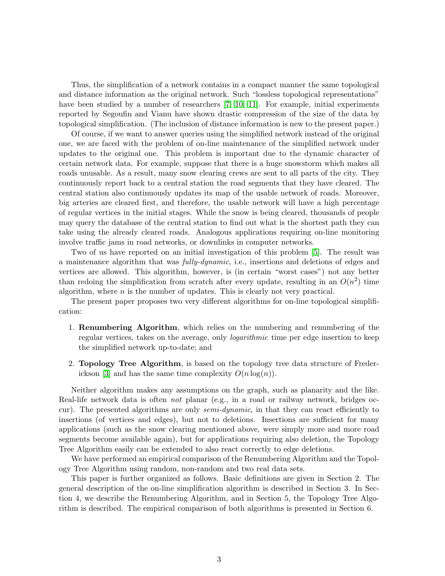Thus, the simplification of a network contains in a compact manner the same topological and distance information as the original network. Such "lossless topological representations" have been studied by a number of researchers [\[7,](#page-18-1) [10,](#page-18-2) [11\]](#page-18-3). For example, initial experiments reported by Segoufin and Vianu have shown drastic compression of the size of the data by topological simplification. (The inclusion of distance information is new to the present paper.)

Of course, if we want to answer queries using the simplified network instead of the original one, we are faced with the problem of on-line maintenance of the simplified network under updates to the original one. This problem is important due to the dynamic character of certain network data. For example, suppose that there is a huge snowstorm which makes all roads unusable. As a result, many snow clearing crews are sent to all parts of the city. They continuously report back to a central station the road segments that they have cleared. The central station also continuously updates its map of the usable network of roads. Moreover, big arteries are cleared first, and therefore, the usable network will have a high percentage of regular vertices in the initial stages. While the snow is being cleared, thousands of people may query the database of the central station to find out what is the shortest path they can take using the already cleared roads. Analogous applications requiring on-line monitoring involve traffic jams in road networks, or downlinks in computer networks.

Two of us have reported on an initial investigation of this problem [\[5\]](#page-18-4). The result was a maintenance algorithm that was fully-dynamic, i.e., insertions and deletions of edges and vertices are allowed. This algorithm, however, is (in certain "worst cases") not any better than redoing the simplification from scratch after every update, resulting in an  $O(n^2)$  time algorithm, where  $n$  is the number of updates. This is clearly not very practical.

The present paper proposes two very different algorithms for on-line topological simplification:

- 1. Renumbering Algorithm, which relies on the numbering and renumbering of the regular vertices, takes on the average, only *logarithmic* time per edge insertion to keep the simplified network up-to-date; and
- 2. Topology Tree Algorithm, is based on the topology tree data structure of Freder-ickson [\[3\]](#page-18-5) and has the same time complexity  $O(n \log(n))$ .

Neither algorithm makes any assumptions on the graph, such as planarity and the like. Real-life network data is often *not* planar (e.g., in a road or railway network, bridges occur). The presented algorithms are only semi-dynamic, in that they can react efficiently to insertions (of vertices and edges), but not to deletions. Insertions are sufficient for many applications (such as the snow clearing mentioned above, were simply more and more road segments become available again), but for applications requiring also deletion, the Topology Tree Algorithm easily can be extended to also react correctly to edge deletions.

We have performed an empirical comparison of the Renumbering Algorithm and the Topology Tree Algorithm using random, non-random and two real data sets.

This paper is further organized as follows. Basic definitions are given in Section 2. The general description of the on-line simplification algorithm is described in Section 3. In Section 4, we describe the Renumbering Algorithm, and in Section 5, the Topology Tree Algorithm is described. The empirical comparison of both algorithms is presented in Section 6.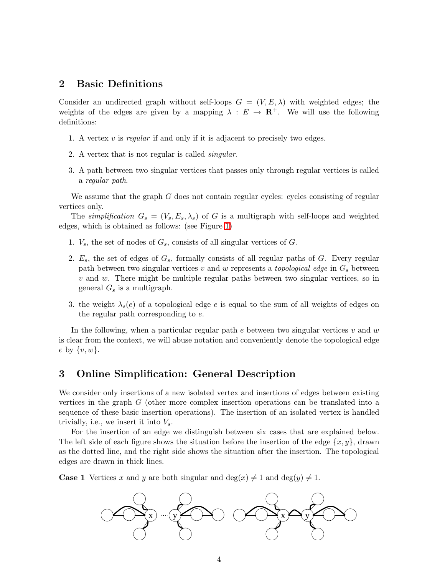### 2 Basic Definitions

Consider an undirected graph without self-loops  $G = (V, E, \lambda)$  with weighted edges; the weights of the edges are given by a mapping  $\lambda : E \to \mathbb{R}^+$ . We will use the following definitions:

- 1. A vertex  $v$  is regular if and only if it is adjacent to precisely two edges.
- 2. A vertex that is not regular is called singular.
- 3. A path between two singular vertices that passes only through regular vertices is called a regular path.

We assume that the graph  $G$  does not contain regular cycles: cycles consisting of regular vertices only.

The simplification  $G_s = (V_s, E_s, \lambda_s)$  of G is a multigraph with self-loops and weighted edges, which is obtained as follows: (see Figure [1\)](#page-1-0)

- 1.  $V_s$ , the set of nodes of  $G_s$ , consists of all singular vertices of G.
- 2.  $E_s$ , the set of edges of  $G_s$ , formally consists of all regular paths of  $G$ . Every regular path between two singular vertices v and w represents a *topological edge* in  $G_s$  between  $v$  and  $w$ . There might be multiple regular paths between two singular vertices, so in general  $G_s$  is a multigraph.
- 3. the weight  $\lambda_s(e)$  of a topological edge e is equal to the sum of all weights of edges on the regular path corresponding to e.

In the following, when a particular regular path  $e$  between two singular vertices  $v$  and  $w$ is clear from the context, we will abuse notation and conveniently denote the topological edge e by  $\{v, w\}.$ 

### <span id="page-3-0"></span>3 Online Simplification: General Description

We consider only insertions of a new isolated vertex and insertions of edges between existing vertices in the graph G (other more complex insertion operations can be translated into a sequence of these basic insertion operations). The insertion of an isolated vertex is handled trivially, i.e., we insert it into  $V_s$ .

For the insertion of an edge we distinguish between six cases that are explained below. The left side of each figure shows the situation before the insertion of the edge  $\{x, y\}$ , drawn as the dotted line, and the right side shows the situation after the insertion. The topological edges are drawn in thick lines.

**Case 1** Vertices x and y are both singular and deg(x)  $\neq$  1 and deg(y)  $\neq$  1.

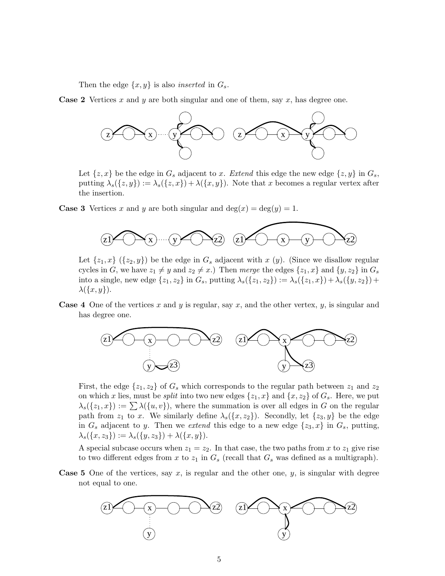Then the edge  $\{x, y\}$  is also *inserted* in  $G_s$ .

**Case 2** Vertices x and y are both singular and one of them, say x, has degree one.



Let  $\{z, x\}$  be the edge in  $G_s$  adjacent to x. Extend this edge the new edge  $\{z, y\}$  in  $G_s$ , putting  $\lambda_s({z, y}) := \lambda_s({z, x}) + \lambda({x, y})$ . Note that x becomes a regular vertex after the insertion.

**Case 3** Vertices x and y are both singular and  $deg(x) = deg(y) = 1$ .



Let  $\{z_1, x\}$   $(\{z_2, y\})$  be the edge in  $G_s$  adjacent with x  $(y)$ . (Since we disallow regular cycles in G, we have  $z_1 \neq y$  and  $z_2 \neq x$ .) Then merge the edges  $\{z_1, x\}$  and  $\{y, z_2\}$  in  $G_s$ into a single, new edge  $\{z_1, z_2\}$  in  $G_s$ , putting  $\lambda_s(\{z_1, z_2\}) := \lambda_s(\{z_1, x\}) + \lambda_s(\{y, z_2\}) +$  $\lambda(\lbrace x,y \rbrace).$ 

**Case 4** One of the vertices x and y is regular, say x, and the other vertex, y, is singular and has degree one.



First, the edge  $\{z_1, z_2\}$  of  $G_s$  which corresponds to the regular path between  $z_1$  and  $z_2$ on which x lies, must be *split* into two new edges  $\{z_1, x\}$  and  $\{x, z_2\}$  of  $G_s$ . Here, we put  $\lambda_s({z_1,x}) := \sum \lambda({u, v})$ , where the summation is over all edges in G on the regular path from  $z_1$  to x. We similarly define  $\lambda_s(\lbrace x, z_2 \rbrace)$ . Secondly, let  $\lbrace z_3, y \rbrace$  be the edge in  $G_s$  adjacent to y. Then we extend this edge to a new edge  $\{z_3, x\}$  in  $G_s$ , putting,  $\lambda_s({x, z_3}) := \lambda_s({y, z_3}) + \lambda({x, y}).$ 

A special subcase occurs when  $z_1 = z_2$ . In that case, the two paths from x to  $z_1$  give rise to two different edges from x to  $z_1$  in  $G_s$  (recall that  $G_s$  was defined as a multigraph).

**Case 5** One of the vertices, say x, is regular and the other one, y, is singular with degree not equal to one.

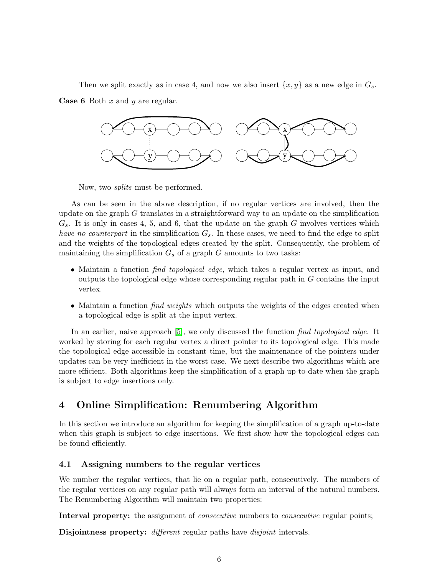Then we split exactly as in case 4, and now we also insert  $\{x, y\}$  as a new edge in  $G_s$ .

**Case 6** Both  $x$  and  $y$  are regular.



Now, two splits must be performed.

As can be seen in the above description, if no regular vertices are involved, then the update on the graph  $G$  translates in a straightforward way to an update on the simplification  $G_s$ . It is only in cases 4, 5, and 6, that the update on the graph G involves vertices which have no counterpart in the simplification  $G_s$ . In these cases, we need to find the edge to split and the weights of the topological edges created by the split. Consequently, the problem of maintaining the simplification  $G_s$  of a graph  $G$  amounts to two tasks:

- Maintain a function *find topological edge*, which takes a regular vertex as input, and outputs the topological edge whose corresponding regular path in  $G$  contains the input vertex.
- Maintain a function *find weights* which outputs the weights of the edges created when a topological edge is split at the input vertex.

In an earlier, naive approach [\[5\]](#page-18-4), we only discussed the function find topological edge. It worked by storing for each regular vertex a direct pointer to its topological edge. This made the topological edge accessible in constant time, but the maintenance of the pointers under updates can be very inefficient in the worst case. We next describe two algorithms which are more efficient. Both algorithms keep the simplification of a graph up-to-date when the graph is subject to edge insertions only.

## 4 Online Simplification: Renumbering Algorithm

In this section we introduce an algorithm for keeping the simplification of a graph up-to-date when this graph is subject to edge insertions. We first show how the topological edges can be found efficiently.

### 4.1 Assigning numbers to the regular vertices

We number the regular vertices, that lie on a regular path, consecutively. The numbers of the regular vertices on any regular path will always form an interval of the natural numbers. The Renumbering Algorithm will maintain two properties:

Interval property: the assignment of *consecutive* numbers to *consecutive* regular points;

Disjointness property: *different* regular paths have *disjoint* intervals.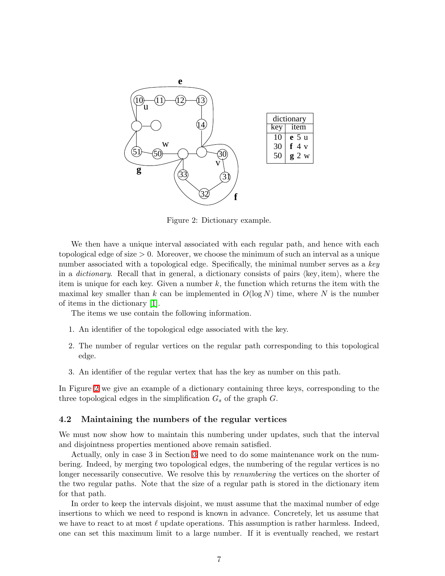

<span id="page-6-0"></span>Figure 2: Dictionary example.

We then have a unique interval associated with each regular path, and hence with each topological edge of size > 0. Moreover, we choose the minimum of such an interval as a unique number associated with a topological edge. Specifically, the minimal number serves as a  $key$ in a *dictionary*. Recall that in general, a dictionary consists of pairs  $\langle \text{key}, \text{item} \rangle$ , where the item is unique for each key. Given a number  $k$ , the function which returns the item with the maximal key smaller than k can be implemented in  $O(\log N)$  time, where N is the number of items in the dictionary [\[1\]](#page-18-6).

The items we use contain the following information.

- 1. An identifier of the topological edge associated with the key.
- 2. The number of regular vertices on the regular path corresponding to this topological edge.
- 3. An identifier of the regular vertex that has the key as number on this path.

In Figure [2](#page-6-0) we give an example of a dictionary containing three keys, corresponding to the three topological edges in the simplification  $G_s$  of the graph  $G$ .

### <span id="page-6-1"></span>4.2 Maintaining the numbers of the regular vertices

We must now show how to maintain this numbering under updates, such that the interval and disjointness properties mentioned above remain satisfied.

Actually, only in case 3 in Section [3](#page-3-0) we need to do some maintenance work on the numbering. Indeed, by merging two topological edges, the numbering of the regular vertices is no longer necessarily consecutive. We resolve this by *renumbering* the vertices on the shorter of the two regular paths. Note that the size of a regular path is stored in the dictionary item for that path.

In order to keep the intervals disjoint, we must assume that the maximal number of edge insertions to which we need to respond is known in advance. Concretely, let us assume that we have to react to at most  $\ell$  update operations. This assumption is rather harmless. Indeed, one can set this maximum limit to a large number. If it is eventually reached, we restart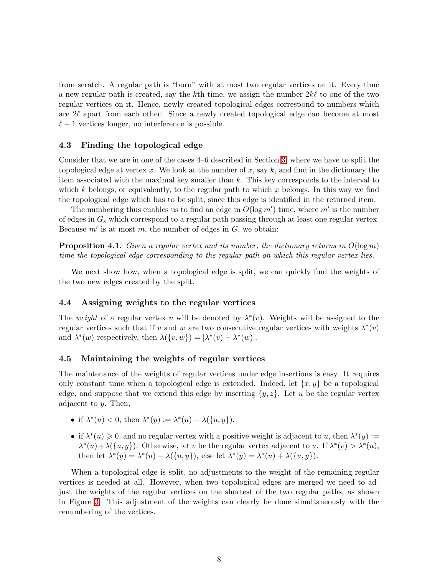from scratch. A regular path is "born" with at most two regular vertices on it. Every time a new regular path is created, say the kth time, we assign the number  $2k\ell$  to one of the two regular vertices on it. Hence, newly created topological edges correspond to numbers which are 2ℓ apart from each other. Since a newly created topological edge can become at most  $\ell-1$  vertices longer, no interference is possible.

### 4.3 Finding the topological edge

Consider that we are in one of the cases 4–6 described in Section [3,](#page-3-0) where we have to split the topological edge at vertex x. We look at the number of x, say  $k$ , and find in the dictionary the item associated with the maximal key smaller than k. This key corresponds to the interval to which k belongs, or equivalently, to the regular path to which x belongs. In this way we find the topological edge which has to be split, since this edge is identified in the returned item.

The numbering thus enables us to find an edge in  $O(\log m')$  time, where m' is the number of edges in  $G_s$  which correspond to a regular path passing through at least one regular vertex. Because  $m'$  is at most  $m$ , the number of edges in  $G$ , we obtain:

**Proposition 4.1.** Given a regular vertex and its number, the dictionary returns in  $O(\log m)$ time the topological edge corresponding to the regular path on which this regular vertex lies.

We next show how, when a topological edge is split, we can quickly find the weights of the two new edges created by the split.

#### 4.4 Assigning weights to the regular vertices

The weight of a regular vertex v will be denoted by  $\lambda^*(v)$ . Weights will be assigned to the regular vertices such that if v and w are two consecutive regular vertices with weights  $\lambda^*(v)$ and  $\lambda^*(w)$  respectively, then  $\lambda({v,w}) = |\lambda^*(v) - \lambda^*(w)|$ .

#### 4.5 Maintaining the weights of regular vertices

The maintenance of the weights of regular vertices under edge insertions is easy. It requires only constant time when a topological edge is extended. Indeed, let  $\{x, y\}$  be a topological edge, and suppose that we extend this edge by inserting  $\{y, z\}$ . Let u be the regular vertex adjacent to y. Then,

- if  $\lambda^*(u) < 0$ , then  $\lambda^*(y) := \lambda^*(u) \lambda({u, y}).$
- if  $\lambda^*(u) \geq 0$ , and no regular vertex with a positive weight is adjacent to u, then  $\lambda^*(y)$  :=  $\lambda^*(u) + \lambda(\{u, y\})$ . Otherwise, let v be the regular vertex adjacent to u. If  $\lambda^*(v) > \lambda^*(u)$ , then let  $\lambda^*(y) = \lambda^*(u) - \lambda({u, y}),$  else let  $\lambda^*(y) = \lambda^*(u) + \lambda({u, y}).$

When a topological edge is split, no adjustments to the weight of the remaining regular vertices is needed at all. However, when two topological edges are merged we need to adjust the weights of the regular vertices on the shortest of the two regular paths, as shown in Figure [3.](#page-8-0) This adjustment of the weights can clearly be done simultaneously with the renumbering of the vertices.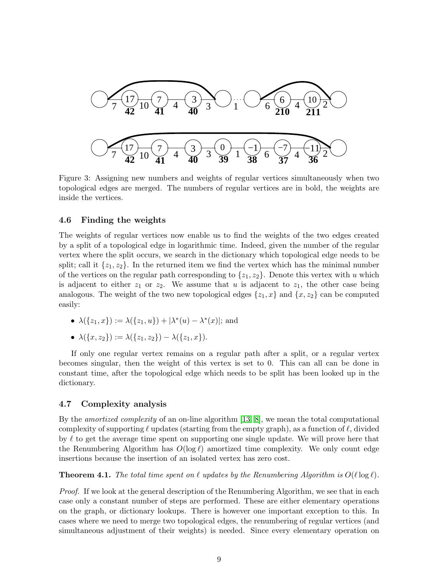

<span id="page-8-0"></span>Figure 3: Assigning new numbers and weights of regular vertices simultaneously when two topological edges are merged. The numbers of regular vertices are in bold, the weights are inside the vertices.

### 4.6 Finding the weights

The weights of regular vertices now enable us to find the weights of the two edges created by a split of a topological edge in logarithmic time. Indeed, given the number of the regular vertex where the split occurs, we search in the dictionary which topological edge needs to be split; call it  $\{z_1, z_2\}$ . In the returned item we find the vertex which has the minimal number of the vertices on the regular path corresponding to  $\{z_1, z_2\}$ . Denote this vertex with u which is adjacent to either  $z_1$  or  $z_2$ . We assume that u is adjacent to  $z_1$ , the other case being analogous. The weight of the two new topological edges  $\{z_1, x\}$  and  $\{x, z_2\}$  can be computed easily:

- $\lambda({z_1, x}) := \lambda({z_1, u}) + |\lambda^*(u) \lambda^*(x)|$ ; and
- $\lambda({x, z_2}) := \lambda({z_1, z_2}) \lambda({z_1, x}).$

If only one regular vertex remains on a regular path after a split, or a regular vertex becomes singular, then the weight of this vertex is set to 0. This can all can be done in constant time, after the topological edge which needs to be split has been looked up in the dictionary.

### 4.7 Complexity analysis

By the amortized complexity of an on-line algorithm [\[13,](#page-18-7) [8\]](#page-18-8), we mean the total computational complexity of supporting  $\ell$  updates (starting from the empty graph), as a function of  $\ell$ , divided by  $\ell$  to get the average time spent on supporting one single update. We will prove here that the Renumbering Algorithm has  $O(\log \ell)$  amortized time complexity. We only count edge insertions because the insertion of an isolated vertex has zero cost.

<span id="page-8-1"></span>**Theorem 4.1.** The total time spent on  $\ell$  updates by the Renumbering Algorithm is  $O(\ell \log \ell)$ .

Proof. If we look at the general description of the Renumbering Algorithm, we see that in each case only a constant number of steps are performed. These are either elementary operations on the graph, or dictionary lookups. There is however one important exception to this. In cases where we need to merge two topological edges, the renumbering of regular vertices (and simultaneous adjustment of their weights) is needed. Since every elementary operation on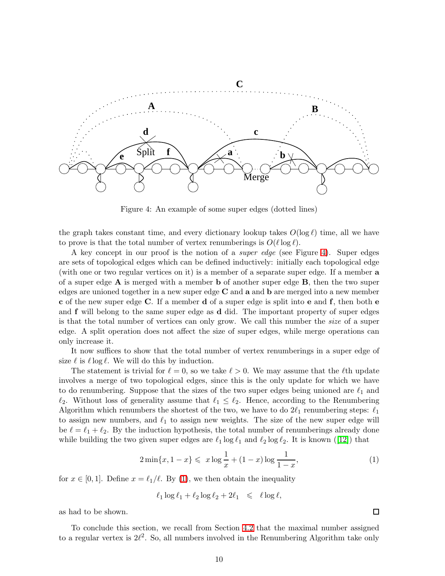

<span id="page-9-0"></span>Figure 4: An example of some super edges (dotted lines)

the graph takes constant time, and every dictionary lookup takes  $O(\log \ell)$  time, all we have to prove is that the total number of vertex renumberings is  $O(\ell \log \ell)$ .

A key concept in our proof is the notion of a super edge (see Figure [4\)](#page-9-0). Super edges are sets of topological edges which can be defined inductively: initially each topological edge (with one or two regular vertices on it) is a member of a separate super edge. If a member a of a super edge  $A$  is merged with a member b of another super edge  $B$ , then the two super edges are unioned together in a new super edge C and a and b are merged into a new member c of the new super edge C. If a member d of a super edge is split into e and f, then both e and f will belong to the same super edge as d did. The important property of super edges is that the total number of vertices can only grow. We call this number the *size* of a super edge. A split operation does not affect the size of super edges, while merge operations can only increase it.

It now suffices to show that the total number of vertex renumberings in a super edge of size  $\ell$  is  $\ell \log \ell$ . We will do this by induction.

The statement is trivial for  $\ell = 0$ , so we take  $\ell > 0$ . We may assume that the  $\ell$ th update involves a merge of two topological edges, since this is the only update for which we have to do renumbering. Suppose that the sizes of the two super edges being unioned are  $\ell_1$  and  $\ell_2$ . Without loss of generality assume that  $\ell_1 \leq \ell_2$ . Hence, according to the Renumbering Algorithm which renumbers the shortest of the two, we have to do  $2\ell_1$  renumbering steps:  $\ell_1$ to assign new numbers, and  $\ell_1$  to assign new weights. The size of the new super edge will be  $\ell = \ell_1 + \ell_2$ . By the induction hypothesis, the total number of renumberings already done while building the two given super edges are  $\ell_1 \log \ell_1$  and  $\ell_2 \log \ell_2$ . It is known ([\[12\]](#page-18-9)) that

$$
2\min\{x, 1-x\} \leqslant x \log \frac{1}{x} + (1-x) \log \frac{1}{1-x},\tag{1}
$$

for  $x \in [0,1]$ . Define  $x = \ell_1/\ell$ . By [\(1\)](#page-9-1), we then obtain the inequality

$$
\ell_1 \log \ell_1 + \ell_2 \log \ell_2 + 2\ell_1 \leq \ell \log \ell,
$$

as had to be shown.

To conclude this section, we recall from Section [4.2](#page-6-1) that the maximal number assigned to a regular vertex is  $2\ell^2$ . So, all numbers involved in the Renumbering Algorithm take only

<span id="page-9-1"></span> $\Box$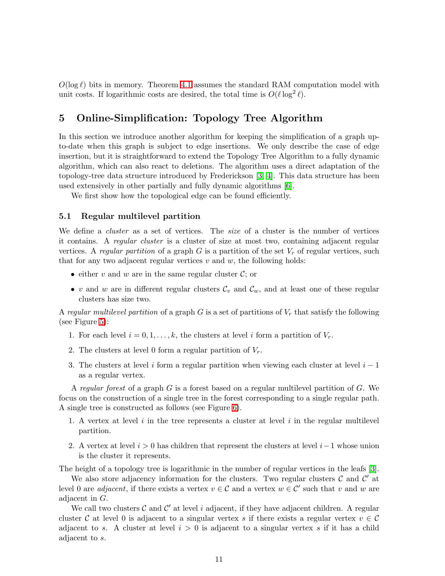$O(\log \ell)$  bits in memory. Theorem [4.1](#page-8-1) assumes the standard RAM computation model with unit costs. If logarithmic costs are desired, the total time is  $O(\ell \log^2 \ell)$ .

### 5 Online-Simplification: Topology Tree Algorithm

In this section we introduce another algorithm for keeping the simplification of a graph upto-date when this graph is subject to edge insertions. We only describe the case of edge insertion, but it is straightforward to extend the Topology Tree Algorithm to a fully dynamic algorithm, which can also react to deletions. The algorithm uses a direct adaptation of the topology-tree data structure introduced by Frederickson [\[3,](#page-18-5) [4\]](#page-18-10). This data structure has been used extensively in other partially and fully dynamic algorithms [\[6\]](#page-18-11).

We first show how the topological edge can be found efficiently.

#### 5.1 Regular multilevel partition

We define a *cluster* as a set of vertices. The *size* of a cluster is the number of vertices it contains. A regular cluster is a cluster of size at most two, containing adjacent regular vertices. A regular partition of a graph  $G$  is a partition of the set  $V_r$  of regular vertices, such that for any two adjacent regular vertices  $v$  and  $w$ , the following holds:

- either v and w are in the same regular cluster  $\mathcal{C}$ ; or
- v and w are in different regular clusters  $\mathcal{C}_v$  and  $\mathcal{C}_w$ , and at least one of these regular clusters has size two.

A regular multilevel partition of a graph G is a set of partitions of  $V_r$  that satisfy the following (see Figure [5\)](#page-11-0):

- 1. For each level  $i = 0, 1, \ldots, k$ , the clusters at level i form a partition of  $V_r$ .
- 2. The clusters at level 0 form a regular partition of  $V_r$ .
- 3. The clusters at level i form a regular partition when viewing each cluster at level  $i 1$ as a regular vertex.

A regular forest of a graph  $G$  is a forest based on a regular multilevel partition of  $G$ . We focus on the construction of a single tree in the forest corresponding to a single regular path. A single tree is constructed as follows (see Figure [6\)](#page-11-1).

- 1. A vertex at level i in the tree represents a cluster at level i in the regular multilevel partition.
- 2. A vertex at level  $i > 0$  has children that represent the clusters at level  $i-1$  whose union is the cluster it represents.

The height of a topology tree is logarithmic in the number of regular vertices in the leafs [\[3\]](#page-18-5).

We also store adjacency information for the clusters. Two regular clusters  $\mathcal C$  and  $\mathcal C'$  at level 0 are *adjacent*, if there exists a vertex  $v \in C$  and a vertex  $w \in C'$  such that v and w are adjacent in G.

We call two clusters  $\mathcal C$  and  $\mathcal C'$  at level i adjacent, if they have adjacent children. A regular cluster C at level 0 is adjacent to a singular vertex s if there exists a regular vertex  $v \in \mathcal{C}$ adjacent to s. A cluster at level  $i > 0$  is adjacent to a singular vertex s if it has a child adjacent to s.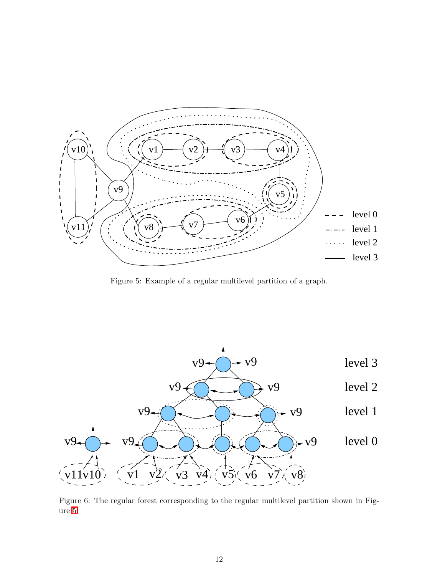

<span id="page-11-0"></span>Figure 5: Example of a regular multilevel partition of a graph.



<span id="page-11-1"></span>Figure 6: The regular forest corresponding to the regular multilevel partition shown in Figure [5.](#page-11-0)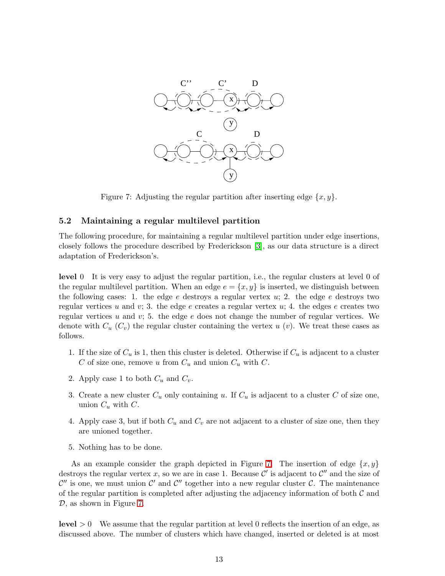

<span id="page-12-0"></span>Figure 7: Adjusting the regular partition after inserting edge  $\{x, y\}$ .

#### 5.2 Maintaining a regular multilevel partition

The following procedure, for maintaining a regular multilevel partition under edge insertions, closely follows the procedure described by Frederickson [\[3\]](#page-18-5), as our data structure is a direct adaptation of Frederickson's.

level 0 It is very easy to adjust the regular partition, i.e., the regular clusters at level 0 of the regular multilevel partition. When an edge  $e = \{x, y\}$  is inserted, we distinguish between the following cases: 1. the edge e destroys a regular vertex  $u$ ; 2. the edge e destroys two regular vertices u and v; 3. the edge e creates a regular vertex u; 4. the edges e creates two regular vertices u and  $v$ ; 5. the edge e does not change the number of regular vertices. We denote with  $C_u$   $(C_v)$  the regular cluster containing the vertex u  $(v)$ . We treat these cases as follows.

- 1. If the size of  $C_u$  is 1, then this cluster is deleted. Otherwise if  $C_u$  is adjacent to a cluster C of size one, remove u from  $C_u$  and union  $C_u$  with C.
- 2. Apply case 1 to both  $C_u$  and  $C_v$ .
- 3. Create a new cluster  $C_u$  only containing u. If  $C_u$  is adjacent to a cluster C of size one, union  $C_u$  with  $C$ .
- 4. Apply case 3, but if both  $C_u$  and  $C_v$  are not adjacent to a cluster of size one, then they are unioned together.
- 5. Nothing has to be done.

As an example consider the graph depicted in Figure [7.](#page-12-0) The insertion of edge  $\{x, y\}$ destroys the regular vertex x, so we are in case 1. Because  $\mathcal{C}'$  is adjacent to  $\mathcal{C}''$  and the size of  $\mathcal{C}''$  is one, we must union  $\mathcal{C}'$  and  $\mathcal{C}''$  together into a new regular cluster  $\mathcal{C}$ . The maintenance of the regular partition is completed after adjusting the adjacency information of both  $\mathcal C$  and D, as shown in Figure [7.](#page-12-0)

 $level > 0$  We assume that the regular partition at level 0 reflects the insertion of an edge, as discussed above. The number of clusters which have changed, inserted or deleted is at most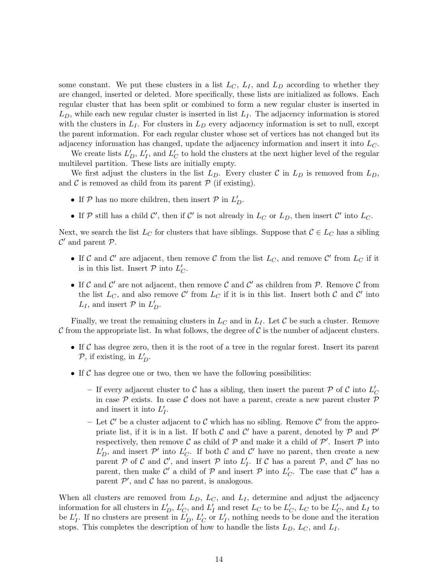some constant. We put these clusters in a list  $L<sub>C</sub>$ ,  $L<sub>I</sub>$ , and  $L<sub>D</sub>$  according to whether they are changed, inserted or deleted. More specifically, these lists are initialized as follows. Each regular cluster that has been split or combined to form a new regular cluster is inserted in  $L<sub>D</sub>$ , while each new regular cluster is inserted in list  $L<sub>I</sub>$ . The adjacency information is stored with the clusters in  $L_I$ . For clusters in  $L_D$  every adjacency information is set to null, except the parent information. For each regular cluster whose set of vertices has not changed but its adjacency information has changed, update the adjacency information and insert it into  $L_C$ .

We create lists  $L_D^{\prime}, L_D^{\prime}$  $I_I$ , and  $\tilde{L}_0$  $\sigma_C'$  to hold the clusters at the next higher level of the regular multilevel partition. These lists are initially empty.

We first adjust the clusters in the list  $L_D$ . Every cluster C in  $L_D$  is removed from  $L_D$ , and  $\mathcal C$  is removed as child from its parent  $\mathcal P$  (if existing).

- If  $P$  has no more children, then insert  $P$  in  $L_D'$ .
- If  $P$  still has a child  $C'$ , then if  $C'$  is not already in  $L_C$  or  $L_D$ , then insert  $C'$  into  $L_C$ .

Next, we search the list  $L_C$  for clusters that have siblings. Suppose that  $C \in L_C$  has a sibling  $\mathcal{C}'$  and parent  $\mathcal{P}$ .

- If C and C' are adjacent, then remove C from the list  $L_C$ , and remove C' from  $L_C$  if it is in this list. Insert  $P$  into  $L'$  $_{C}^{\prime}$ .
- If C and C' are not adjacent, then remove C and C' as children from P. Remove C from the list  $L_C$ , and also remove C' from  $L_C$  if it is in this list. Insert both C and C' into  $L_I$ , and insert  $P$  in  $L_D'$ .

Finally, we treat the remaining clusters in  $L<sub>C</sub>$  and in  $L<sub>I</sub>$ . Let C be such a cluster. Remove C from the appropriate list. In what follows, the degree of C is the number of adjacent clusters.

- If  $C$  has degree zero, then it is the root of a tree in the regular forest. Insert its parent  $P$ , if existing, in  $L_D^{\prime}$ .
- If  $\mathcal C$  has degree one or two, then we have the following possibilities:
	- If every adjacent cluster to C has a sibling, then insert the parent P of C into  $L'$  $\mathcal{C}_{0}^{0}$ in case  $P$  exists. In case C does not have a parent, create a new parent cluster  $P$ and insert it into  $L'_{i}$  $_I^\prime$ .
	- Let  $\mathcal{C}'$  be a cluster adjacent to  $\mathcal C$  which has no sibling. Remove  $\mathcal{C}'$  from the appropriate list, if it is in a list. If both  $C$  and  $C'$  have a parent, denoted by  $\mathcal{P}$  and  $\mathcal{P}'$ respectively, then remove C as child of  $P$  and make it a child of  $P'$ . Insert  $P$  into  $L_D^{\prime}$ , and insert  $\mathcal{P}'$  into  $L_C^{\prime}$  $\mathcal{C}_C$ . If both  $\mathcal C$  and  $\mathcal C'$  have no parent, then create a new parent P of C and C', and insert P into  $L'$ If C has a parent  $P$ , and C' has no parent, then make  $\mathcal{C}'$  a child of  $\mathcal P$  and insert  $\mathcal P$  into  $L'$  $\int_C$ . The case that  $C'$  has a parent  $\mathcal{P}'$ , and  $\mathcal C$  has no parent, is analogous.

When all clusters are removed from  $L_D$ ,  $L_C$ , and  $L_I$ , determine and adjust the adjacency information for all clusters in  $L_D^{\prime}$ ,  $L_C^{\prime}$  $'_{C}$ , and  $L'_{B}$  $\frac{1}{I}$  and reset  $L_C$  to be  $L_C'$  $'_{C}$ ,  $L_{C}$  to be  $L'_{C}$  $C<sub>C</sub>$ , and  $L<sub>I</sub>$  to be  $L'_i$  $I_I'$ . If no clusters are present in  $L_D'$ ,  $L_C'$  $_{C}^{\prime}$  or  $L_{B}^{\prime}$  $I_I$ , nothing needs to be done and the iteration stops. This completes the description of how to handle the lists  $L_D$ ,  $L_C$ , and  $L_I$ .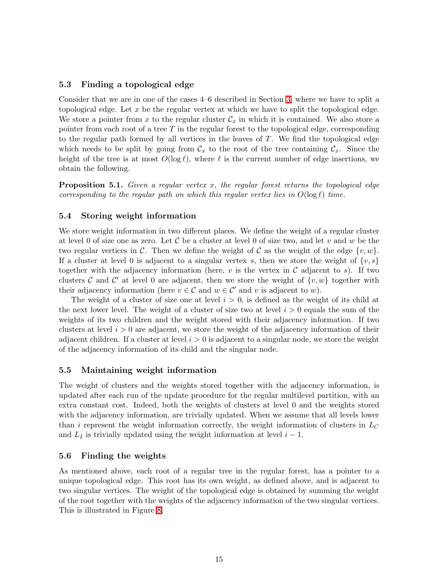### 5.3 Finding a topological edge

Consider that we are in one of the cases 4–6 described in Section [3,](#page-3-0) where we have to split a topological edge. Let  $x$  be the regular vertex at which we have to split the topological edge. We store a pointer from x to the regular cluster  $\mathcal{C}_x$  in which it is contained. We also store a pointer from each root of a tree  $T$  in the regular forest to the topological edge, corresponding to the regular path formed by all vertices in the leaves of T. We find the topological edge which needs to be split by going from  $\mathcal{C}_x$  to the root of the tree containing  $\mathcal{C}_x$ . Since the height of the tree is at most  $O(\log \ell)$ , where  $\ell$  is the current number of edge insertions, we obtain the following.

**Proposition 5.1.** Given a regular vertex x, the regular forest returns the topological edge corresponding to the regular path on which this regular vertex lies in  $O(\log \ell)$  time.

#### 5.4 Storing weight information

We store weight information in two different places. We define the weight of a regular cluster at level 0 of size one as zero. Let  $\mathcal C$  be a cluster at level 0 of size two, and let v and w be the two regular vertices in C. Then we define the weight of C as the weight of the edge  $\{v, w\}$ . If a cluster at level 0 is adjacent to a singular vertex s, then we store the weight of  $\{v, s\}$ together with the adjacency information (here, v is the vertex in C adjacent to s). If two clusters C and C' at level 0 are adjacent, then we store the weight of  $\{v, w\}$  together with their adjacency information (here  $v \in \mathcal{C}$  and  $w \in \mathcal{C}'$  and v is adjacent to w).

The weight of a cluster of size one at level  $i > 0$ , is defined as the weight of its child at the next lower level. The weight of a cluster of size two at level  $i > 0$  equals the sum of the weights of its two children and the weight stored with their adjacency information. If two clusters at level  $i > 0$  are adjacent, we store the weight of the adjacency information of their adjacent children. If a cluster at level  $i > 0$  is adjacent to a singular node, we store the weight of the adjacency information of its child and the singular node.

#### 5.5 Maintaining weight information

The weight of clusters and the weights stored together with the adjacency information, is updated after each run of the update procedure for the regular multilevel partition, with an extra constant cost. Indeed, both the weights of clusters at level 0 and the weights stored with the adjacency information, are trivially updated. When we assume that all levels lower than i represent the weight information correctly, the weight information of clusters in  $L<sub>C</sub>$ and  $L_I$  is trivially updated using the weight information at level  $i - 1$ .

#### 5.6 Finding the weights

As mentioned above, each root of a regular tree in the regular forest, has a pointer to a unique topological edge. This root has its own weight, as defined above, and is adjacent to two singular vertices. The weight of the topological edge is obtained by summing the weight of the root together with the weights of the adjacency information of the two singular vertices. This is illustrated in Figure [8.](#page-15-0)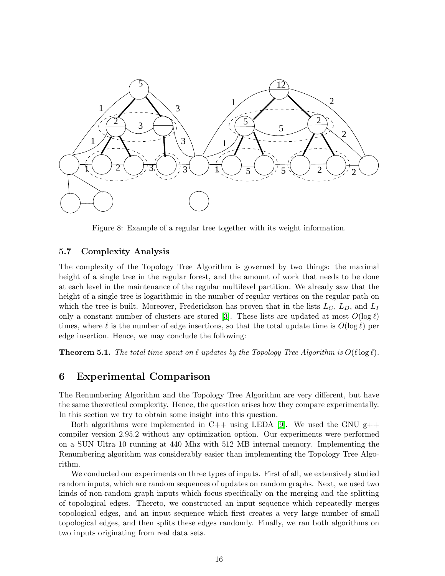

<span id="page-15-0"></span>Figure 8: Example of a regular tree together with its weight information.

### 5.7 Complexity Analysis

The complexity of the Topology Tree Algorithm is governed by two things: the maximal height of a single tree in the regular forest, and the amount of work that needs to be done at each level in the maintenance of the regular multilevel partition. We already saw that the height of a single tree is logarithmic in the number of regular vertices on the regular path on which the tree is built. Moreover, Frederickson has proven that in the lists  $L_C$ ,  $L_D$ , and  $L_I$ only a constant number of clusters are stored [\[3\]](#page-18-5). These lists are updated at most  $O(\log \ell)$ times, where  $\ell$  is the number of edge insertions, so that the total update time is  $O(\log \ell)$  per edge insertion. Hence, we may conclude the following:

**Theorem 5.1.** The total time spent on  $\ell$  updates by the Topology Tree Algorithm is  $O(\ell \log \ell)$ .

### 6 Experimental Comparison

The Renumbering Algorithm and the Topology Tree Algorithm are very different, but have the same theoretical complexity. Hence, the question arises how they compare experimentally. In this section we try to obtain some insight into this question.

Both algorithms were implemented in C++ using LEDA [\[9\]](#page-18-12). We used the GNU  $g$ ++ compiler version 2.95.2 without any optimization option. Our experiments were performed on a SUN Ultra 10 running at 440 Mhz with 512 MB internal memory. Implementing the Renumbering algorithm was considerably easier than implementing the Topology Tree Algorithm.

We conducted our experiments on three types of inputs. First of all, we extensively studied random inputs, which are random sequences of updates on random graphs. Next, we used two kinds of non-random graph inputs which focus specifically on the merging and the splitting of topological edges. Thereto, we constructed an input sequence which repeatedly merges topological edges, and an input sequence which first creates a very large number of small topological edges, and then splits these edges randomly. Finally, we ran both algorithms on two inputs originating from real data sets.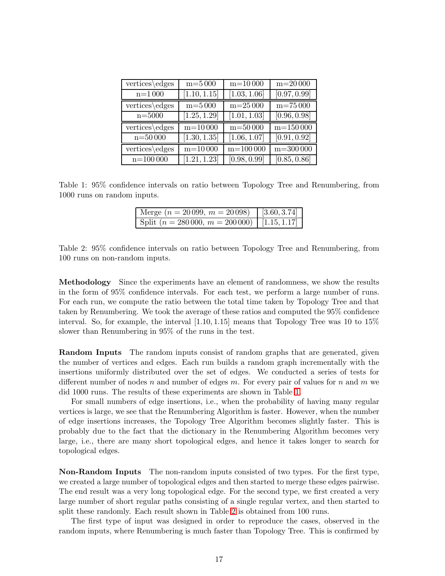| vertices\edges | $m = 5000$   | $m = 10000$  | $m = 20000$             |
|----------------|--------------|--------------|-------------------------|
| $n = 1000$     | [1.10, 1.15] | [1.03, 1.06] | [0.97, 0.99]            |
| vertices\edges | $m = 5000$   | $m = 25000$  | $m=75000$               |
| $n = 5000$     | [1.25, 1.29] | [1.01, 1.03] | [0.96, 0.98]            |
| vertices\edges | $m=10000$    | $m = 50000$  | $\mathrm{m}{=}150\,000$ |
| $n = 50000$    | [1.30, 1.35] | [1.06, 1.07] | [0.91, 0.92]            |
| vertices\edges | $m = 10000$  | $m = 100000$ | $m = 300000$            |
| $n = 100000$   | [1.21, 1.23] | [0.98, 0.99] | [0.85, 0.86]            |

<span id="page-16-0"></span>Table 1: 95% confidence intervals on ratio between Topology Tree and Renumbering, from 1000 runs on random inputs.

| Nerge $(n = 20099, m = 20098)$                | [3.60, 3.74] |
|-----------------------------------------------|--------------|
| Split $(n = 280000, m = 200000)$ [1.15, 1.17] |              |

<span id="page-16-1"></span>

|  |                                |  |  |  | Table 2: 95% confidence intervals on ratio between Topology Tree and Renumbering, from |  |
|--|--------------------------------|--|--|--|----------------------------------------------------------------------------------------|--|
|  | 100 runs on non-random inputs. |  |  |  |                                                                                        |  |

Methodology Since the experiments have an element of randomness, we show the results in the form of 95% confidence intervals. For each test, we perform a large number of runs. For each run, we compute the ratio between the total time taken by Topology Tree and that taken by Renumbering. We took the average of these ratios and computed the 95% confidence interval. So, for example, the interval  $[1.10, 1.15]$  means that Topology Tree was 10 to 15% slower than Renumbering in 95% of the runs in the test.

Random Inputs The random inputs consist of random graphs that are generated, given the number of vertices and edges. Each run builds a random graph incrementally with the insertions uniformly distributed over the set of edges. We conducted a series of tests for different number of nodes n and number of edges m. For every pair of values for n and m we did 1000 runs. The results of these experiments are shown in Table [1.](#page-16-0)

For small numbers of edge insertions, i.e., when the probability of having many regular vertices is large, we see that the Renumbering Algorithm is faster. However, when the number of edge insertions increases, the Topology Tree Algorithm becomes slightly faster. This is probably due to the fact that the dictionary in the Renumbering Algorithm becomes very large, i.e., there are many short topological edges, and hence it takes longer to search for topological edges.

Non-Random Inputs The non-random inputs consisted of two types. For the first type, we created a large number of topological edges and then started to merge these edges pairwise. The end result was a very long topological edge. For the second type, we first created a very large number of short regular paths consisting of a single regular vertex, and then started to split these randomly. Each result shown in Table [2](#page-16-1) is obtained from 100 runs.

The first type of input was designed in order to reproduce the cases, observed in the random inputs, where Renumbering is much faster than Topology Tree. This is confirmed by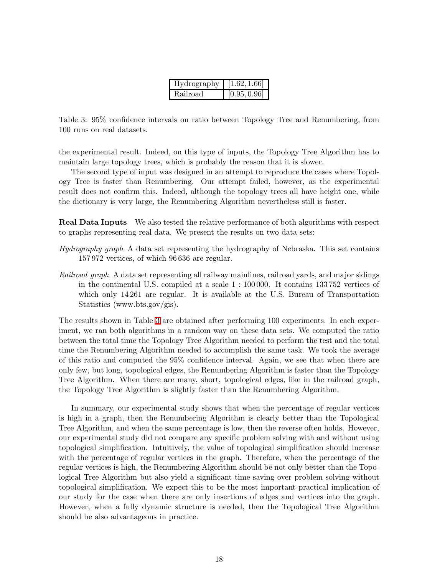| Hydrography | [1.62, 1.66] |
|-------------|--------------|
| Railroad    | [0.95, 0.96] |

<span id="page-17-0"></span>Table 3: 95% confidence intervals on ratio between Topology Tree and Renumbering, from 100 runs on real datasets.

the experimental result. Indeed, on this type of inputs, the Topology Tree Algorithm has to maintain large topology trees, which is probably the reason that it is slower.

The second type of input was designed in an attempt to reproduce the cases where Topology Tree is faster than Renumbering. Our attempt failed, however, as the experimental result does not confirm this. Indeed, although the topology trees all have height one, while the dictionary is very large, the Renumbering Algorithm nevertheless still is faster.

Real Data Inputs We also tested the relative performance of both algorithms with respect to graphs representing real data. We present the results on two data sets:

- Hydrography graph A data set representing the hydrography of Nebraska. This set contains 157 972 vertices, of which 96 636 are regular.
- Railroad graph A data set representing all railway mainlines, railroad yards, and major sidings in the continental U.S. compiled at a scale 1 : 100 000. It contains 133 752 vertices of which only 14 261 are regular. It is available at the U.S. Bureau of Transportation Statistics (www.bts.gov/gis).

The results shown in Table [3](#page-17-0) are obtained after performing 100 experiments. In each experiment, we ran both algorithms in a random way on these data sets. We computed the ratio between the total time the Topology Tree Algorithm needed to perform the test and the total time the Renumbering Algorithm needed to accomplish the same task. We took the average of this ratio and computed the 95% confidence interval. Again, we see that when there are only few, but long, topological edges, the Renumbering Algorithm is faster than the Topology Tree Algorithm. When there are many, short, topological edges, like in the railroad graph, the Topology Tree Algorithm is slightly faster than the Renumbering Algorithm.

In summary, our experimental study shows that when the percentage of regular vertices is high in a graph, then the Renumbering Algorithm is clearly better than the Topological Tree Algorithm, and when the same percentage is low, then the reverse often holds. However, our experimental study did not compare any specific problem solving with and without using topological simplification. Intuitively, the value of topological simplification should increase with the percentage of regular vertices in the graph. Therefore, when the percentage of the regular vertices is high, the Renumbering Algorithm should be not only better than the Topological Tree Algorithm but also yield a significant time saving over problem solving without topological simplification. We expect this to be the most important practical implication of our study for the case when there are only insertions of edges and vertices into the graph. However, when a fully dynamic structure is needed, then the Topological Tree Algorithm should be also advantageous in practice.